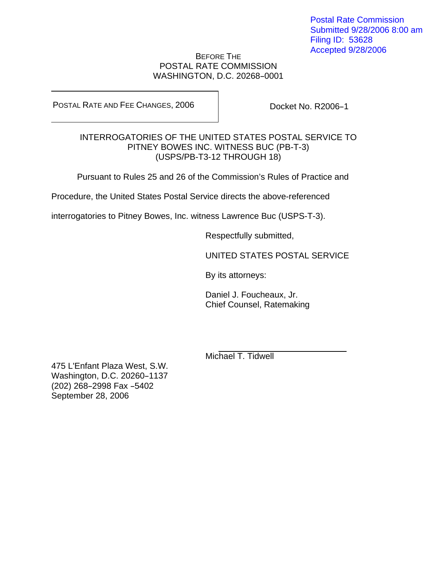Postal Rate Commission Submitted 9/28/2006 8:00 am Filing ID: 53628 Accepted 9/28/2006

## BEFORE THE POSTAL RATE COMMISSION WASHINGTON, D.C. 20268-0001

POSTAL RATE AND FEE CHANGES, 2006

Docket No. R2006-1

## INTERROGATORIES OF THE UNITED STATES POSTAL SERVICE TO PITNEY BOWES INC. WITNESS BUC (PB-T-3) (USPS/PB-T3-12 THROUGH 18)

Pursuant to Rules 25 and 26 of the Commission's Rules of Practice and

Procedure, the United States Postal Service directs the above-referenced

interrogatories to Pitney Bowes, Inc. witness Lawrence Buc (USPS-T-3).

Respectfully submitted,

UNITED STATES POSTAL SERVICE

By its attorneys:

Daniel J. Foucheaux, Jr. Chief Counsel, Ratemaking

Michael T. Tidwell

475 L'Enfant Plaza West, S.W. Washington, D.C. 20260-1137 (202) 268-2998 Fax -5402 September 28, 2006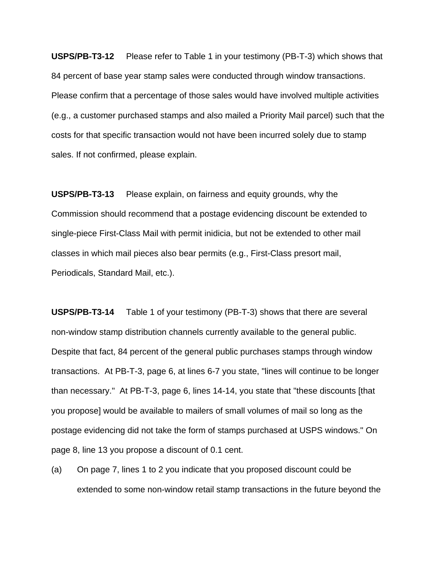**USPS/PB-T3-12** Please refer to Table 1 in your testimony (PB-T-3) which shows that 84 percent of base year stamp sales were conducted through window transactions. Please confirm that a percentage of those sales would have involved multiple activities (e.g., a customer purchased stamps and also mailed a Priority Mail parcel) such that the costs for that specific transaction would not have been incurred solely due to stamp sales. If not confirmed, please explain.

**USPS/PB-T3-13** Please explain, on fairness and equity grounds, why the Commission should recommend that a postage evidencing discount be extended to single-piece First-Class Mail with permit inidicia, but not be extended to other mail classes in which mail pieces also bear permits (e.g., First-Class presort mail, Periodicals, Standard Mail, etc.).

**USPS/PB-T3-14** Table 1 of your testimony (PB-T-3) shows that there are several non-window stamp distribution channels currently available to the general public. Despite that fact, 84 percent of the general public purchases stamps through window transactions. At PB-T-3, page 6, at lines 6-7 you state, "lines will continue to be longer than necessary." At PB-T-3, page 6, lines 14-14, you state that "these discounts [that you propose] would be available to mailers of small volumes of mail so long as the postage evidencing did not take the form of stamps purchased at USPS windows." On page 8, line 13 you propose a discount of 0.1 cent.

(a) On page 7, lines 1 to 2 you indicate that you proposed discount could be extended to some non-window retail stamp transactions in the future beyond the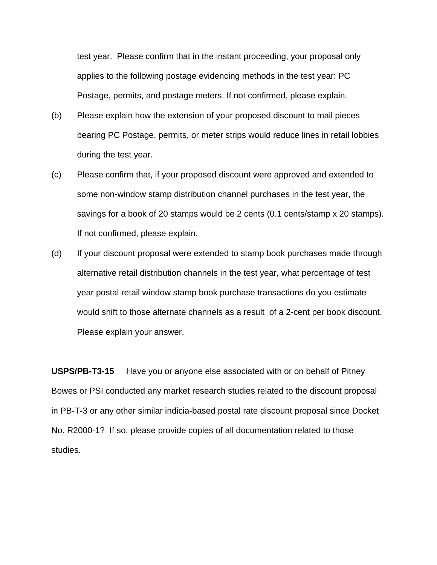test year. Please confirm that in the instant proceeding, your proposal only applies to the following postage evidencing methods in the test year: PC Postage, permits, and postage meters. If not confirmed, please explain.

- (b) Please explain how the extension of your proposed discount to mail pieces bearing PC Postage, permits, or meter strips would reduce lines in retail lobbies during the test year.
- (c) Please confirm that, if your proposed discount were approved and extended to some non-window stamp distribution channel purchases in the test year, the savings for a book of 20 stamps would be 2 cents (0.1 cents/stamp x 20 stamps). If not confirmed, please explain.
- (d) If your discount proposal were extended to stamp book purchases made through alternative retail distribution channels in the test year, what percentage of test year postal retail window stamp book purchase transactions do you estimate would shift to those alternate channels as a result of a 2-cent per book discount. Please explain your answer.

**USPS/PB-T3-15** Have you or anyone else associated with or on behalf of Pitney Bowes or PSI conducted any market research studies related to the discount proposal in PB-T-3 or any other similar indicia-based postal rate discount proposal since Docket No. R2000-1? If so, please provide copies of all documentation related to those studies.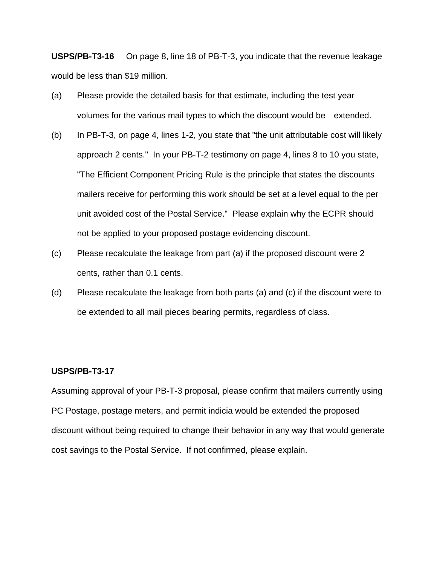**USPS/PB-T3-16** On page 8, line 18 of PB-T-3, you indicate that the revenue leakage would be less than \$19 million.

- (a) Please provide the detailed basis for that estimate, including the test year volumes for the various mail types to which the discount would be extended.
- (b) In PB-T-3, on page 4, lines 1-2, you state that "the unit attributable cost will likely approach 2 cents." In your PB-T-2 testimony on page 4, lines 8 to 10 you state, "The Efficient Component Pricing Rule is the principle that states the discounts mailers receive for performing this work should be set at a level equal to the per unit avoided cost of the Postal Service." Please explain why the ECPR should not be applied to your proposed postage evidencing discount.
- (c) Please recalculate the leakage from part (a) if the proposed discount were 2 cents, rather than 0.1 cents.
- (d) Please recalculate the leakage from both parts (a) and (c) if the discount were to be extended to all mail pieces bearing permits, regardless of class.

## **USPS/PB-T3-17**

Assuming approval of your PB-T-3 proposal, please confirm that mailers currently using PC Postage, postage meters, and permit indicia would be extended the proposed discount without being required to change their behavior in any way that would generate cost savings to the Postal Service. If not confirmed, please explain.